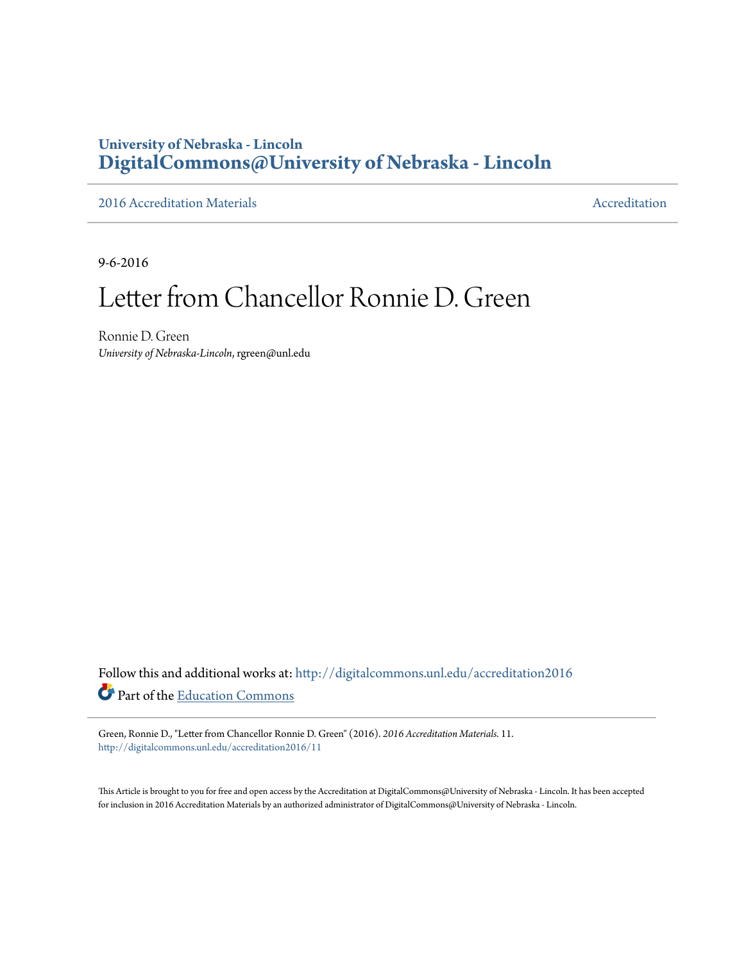## **University of Nebraska - Lincoln [DigitalCommons@University of Nebraska - Lincoln](http://digitalcommons.unl.edu?utm_source=digitalcommons.unl.edu%2Faccreditation2016%2F11&utm_medium=PDF&utm_campaign=PDFCoverPages)**

[2016 Accreditation Materials](http://digitalcommons.unl.edu/accreditation2016?utm_source=digitalcommons.unl.edu%2Faccreditation2016%2F11&utm_medium=PDF&utm_campaign=PDFCoverPages) **[Accreditation](http://digitalcommons.unl.edu/accreditation?utm_source=digitalcommons.unl.edu%2Faccreditation2016%2F11&utm_medium=PDF&utm_campaign=PDFCoverPages) Materials** Accreditation Accreditation

9-6-2016

## Letter from Chancellor Ronnie D. Green

Ronnie D. Green *University of Nebraska-Lincoln*, rgreen@unl.edu

Follow this and additional works at: [http://digitalcommons.unl.edu/accreditation2016](http://digitalcommons.unl.edu/accreditation2016?utm_source=digitalcommons.unl.edu%2Faccreditation2016%2F11&utm_medium=PDF&utm_campaign=PDFCoverPages) Part of the [Education Commons](http://network.bepress.com/hgg/discipline/784?utm_source=digitalcommons.unl.edu%2Faccreditation2016%2F11&utm_medium=PDF&utm_campaign=PDFCoverPages)

Green, Ronnie D., "Letter from Chancellor Ronnie D. Green" (2016). *2016 Accreditation Materials*. 11. [http://digitalcommons.unl.edu/accreditation2016/11](http://digitalcommons.unl.edu/accreditation2016/11?utm_source=digitalcommons.unl.edu%2Faccreditation2016%2F11&utm_medium=PDF&utm_campaign=PDFCoverPages)

This Article is brought to you for free and open access by the Accreditation at DigitalCommons@University of Nebraska - Lincoln. It has been accepted for inclusion in 2016 Accreditation Materials by an authorized administrator of DigitalCommons@University of Nebraska - Lincoln.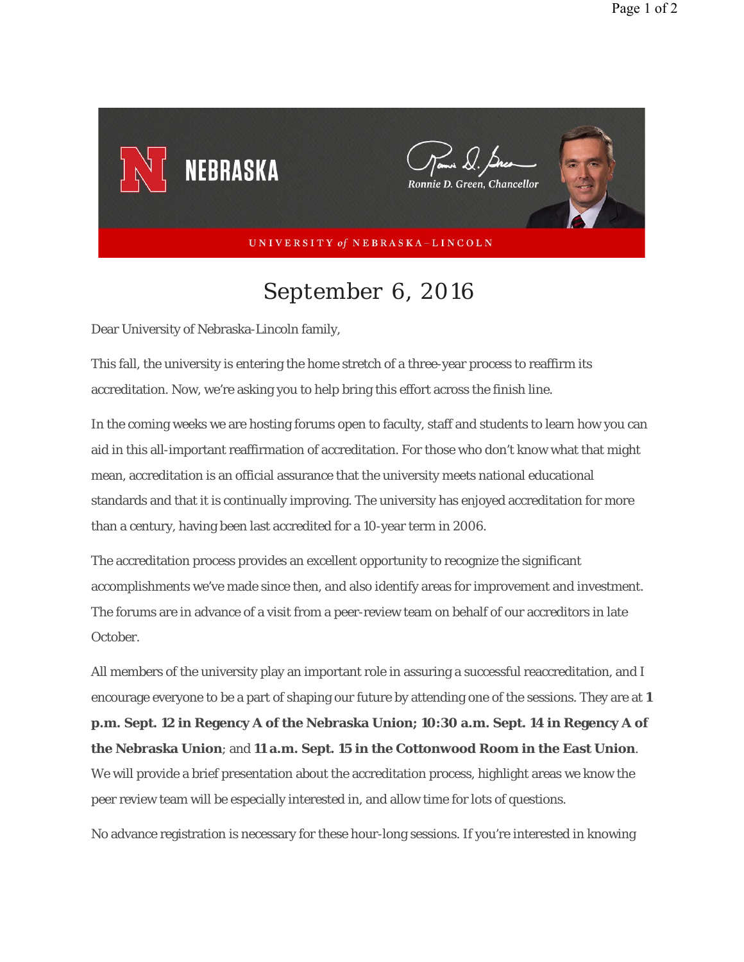

## *September 6, 2016*

Dear University of Nebraska-Lincoln family,

This fall, the university is entering the home stretch of a three-year process to reaffirm its accreditation. Now, we're asking you to help bring this effort across the finish line.

In the coming weeks we are hosting forums open to faculty, staff and students to learn how you can aid in this all-important reaffirmation of accreditation. For those who don't know what that might mean, accreditation is an official assurance that the university meets national educational standards and that it is continually improving. The university has enjoyed accreditation for more than a century, having been last accredited for a 10-year term in 2006.

The accreditation process provides an excellent opportunity to recognize the significant accomplishments we've made since then, and also identify areas for improvement and investment. The forums are in advance of a visit from a peer-review team on behalf of our accreditors in late October.

All members of the university play an important role in assuring a successful reaccreditation, and I encourage everyone to be a part of shaping our future by attending one of the sessions. They are at **1 p.m. Sept. 12 in Regency A of the Nebraska Union; 10:30 a.m. Sept. 14 in Regency A of the Nebraska Union**; and **11 a.m. Sept. 15 in the Cottonwood Room in the East Union**. We will provide a brief presentation about the accreditation process, highlight areas we know the peer review team will be especially interested in, and allow time for lots of questions.

No advance registration is necessary for these hour-long sessions. If you're interested in knowing